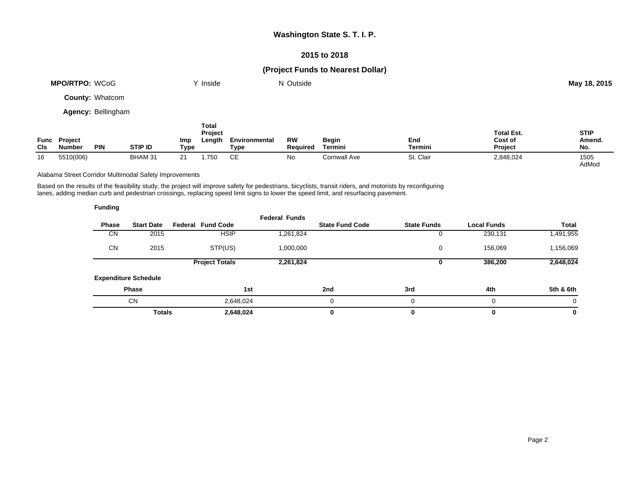## **Washington State S. T. I. P.**

## **2015 to 2018**

# **(Project Funds to Nearest Dollar)**

|                           | <b>MPO/RTPO: WCoG</b>    |                        |                |             | Y Inside                          |                       | N Outside             |                  |                |                                         | May 18, 2015                 |
|---------------------------|--------------------------|------------------------|----------------|-------------|-----------------------------------|-----------------------|-----------------------|------------------|----------------|-----------------------------------------|------------------------------|
|                           |                          | <b>County: Whatcom</b> |                |             |                                   |                       |                       |                  |                |                                         |                              |
| <b>Agency: Bellingham</b> |                          |                        |                |             |                                   |                       |                       |                  |                |                                         |                              |
| Func<br><b>CIs</b>        | Project<br><b>Number</b> | <b>PIN</b>             | <b>STIP ID</b> | Imp<br>Type | <b>Total</b><br>Project<br>Length | Environmental<br>Type | <b>RW</b><br>Required | Begin<br>Termini | End<br>Termini | <b>Total Est.</b><br>Cost of<br>Project | <b>STIP</b><br>Amend.<br>No. |
| 16                        | 5510(006)                |                        | BHAM 31        | 21          | 1.750                             | <b>CE</b>             | No                    | Cornwall Ave     | St. Clair      | 2,848,024                               | 1505                         |

Alabama Street Corridor Multimodal Safety Improvements

Based on the results of the feasibility study, the project will improve safety for pedestrians, bicyclists, transit riders, and motorists by reconfiguring lanes, adding median curb and pedestrian crossings, replacing speed limit signs to lower the speed limit, and resurfacing pavement.

| <b>Funding</b> |                             |                          |                      |                        |                    |                    |              |
|----------------|-----------------------------|--------------------------|----------------------|------------------------|--------------------|--------------------|--------------|
| <b>Phase</b>   | <b>Start Date</b>           | <b>Federal Fund Code</b> | <b>Federal Funds</b> | <b>State Fund Code</b> | <b>State Funds</b> | <b>Local Funds</b> | <b>Total</b> |
| <b>CN</b>      | 2015                        | <b>HSIP</b>              | 1,261,824            |                        | 0                  | 230,131            | 1,491,955    |
| <b>CN</b>      | 2015                        | STP(US)                  | 1,000,000            |                        | 0                  | 156,069            | 1,156,069    |
|                |                             | <b>Project Totals</b>    | 2,261,824            |                        | 0                  | 386,200            | 2,648,024    |
|                | <b>Expenditure Schedule</b> |                          |                      |                        |                    |                    |              |
|                | <b>Phase</b>                |                          | 1st                  | 2nd                    | 3rd                | 4th                | 5th & 6th    |
|                | <b>CN</b>                   | 2,648,024                |                      | $\Omega$               | 0                  | $\Omega$           | $\Omega$     |
|                | <b>Totals</b>               | 2,648,024                |                      | 0                      | 0                  | $\bf{0}$           | 0            |

AdMod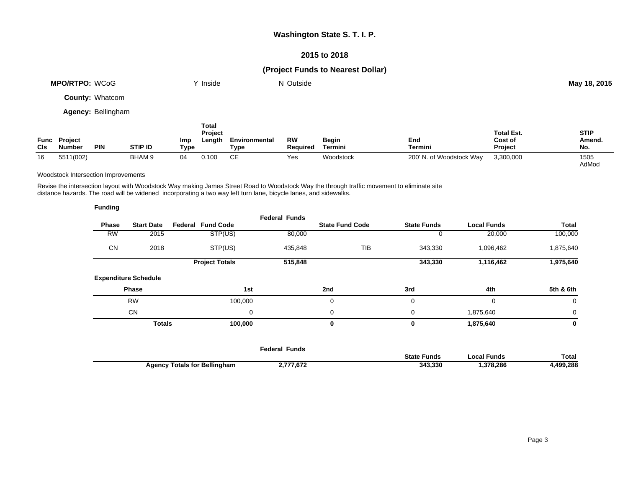## **Washington State S. T. I. P.**

## **2015 to 2018**

# **(Project Funds to Nearest Dollar)**

|                    | <b>MPO/RTPO: WCoG</b>     |                        |                | Y Inside                                         |                       | N Outside             |                  |                          |                                         | May 18, 2015                 |
|--------------------|---------------------------|------------------------|----------------|--------------------------------------------------|-----------------------|-----------------------|------------------|--------------------------|-----------------------------------------|------------------------------|
|                    |                           | <b>County: Whatcom</b> |                |                                                  |                       |                       |                  |                          |                                         |                              |
|                    | <b>Agency: Bellingham</b> |                        |                |                                                  |                       |                       |                  |                          |                                         |                              |
| Func<br><b>CIs</b> | Project<br>Number         | <b>PIN</b>             | <b>STIP ID</b> | <b>Total</b><br>Project<br>Imp<br>Length<br>Type | Environmental<br>Type | <b>RW</b><br>Reauired | Begin<br>Termini | End<br>Termini           | <b>Total Est.</b><br>Cost of<br>Project | <b>STIP</b><br>Amend.<br>No. |
| 16                 | 5511(002)                 |                        | BHAM 9<br>04   | 0.100                                            | <b>CE</b>             | Yes                   | Woodstock        | 200' N. of Woodstock Way | 3,300,000                               | 1505<br>AdMod                |

#### Woodstock Intersection Improvements

Revise the intersection layout with Woodstock Way making James Street Road to Woodstock Way the through traffic movement to eliminate site distance hazards. The road will be widened incorporating a two way left turn lane, bicycle lanes, and sidewalks.

| <b>Funding</b> |                             |                          |                      |                        |                    |                      |                   |
|----------------|-----------------------------|--------------------------|----------------------|------------------------|--------------------|----------------------|-------------------|
| Phase          | <b>Start Date</b>           | <b>Federal Fund Code</b> | <b>Federal Funds</b> | <b>State Fund Code</b> | <b>State Funds</b> | <b>Local Funds</b>   | Total             |
| <b>RW</b>      | 2015                        | STP(US)                  | 80,000               |                        |                    | 0                    | 20,000<br>100,000 |
| <b>CN</b>      | 2018                        | STP(US)                  | 435,848              |                        | <b>TIB</b>         | 343,330<br>1,096,462 | 1,875,640         |
|                |                             | <b>Project Totals</b>    | 515,848              |                        |                    | 343,330<br>1,116,462 | 1,975,640         |
|                | <b>Expenditure Schedule</b> |                          |                      |                        |                    |                      |                   |
|                | <b>Phase</b>                |                          | 1st                  | 2nd                    | 3rd                | 4th                  | 5th & 6th         |
|                | <b>RW</b>                   | 100,000                  |                      | $\mathbf 0$            | 0                  | 0                    | $\mathbf 0$       |
|                | <b>CN</b>                   |                          | 0                    | 0                      | 0                  | 1,875,640            | $\mathbf 0$       |
|                | <b>Totals</b>               | 100,000                  |                      | 0                      | 0                  | 1,875,640            | $\mathbf 0$       |
|                |                             |                          |                      |                        |                    |                      |                   |

|                                     | Federal Funds |                    |             |              |
|-------------------------------------|---------------|--------------------|-------------|--------------|
|                                     |               | <b>State Funds</b> | .ocal Funds | <b>Total</b> |
| <b>Agency Totals for Bellingham</b> | 2,777,672     | 343.330            | .378.286    | .499.288.    |